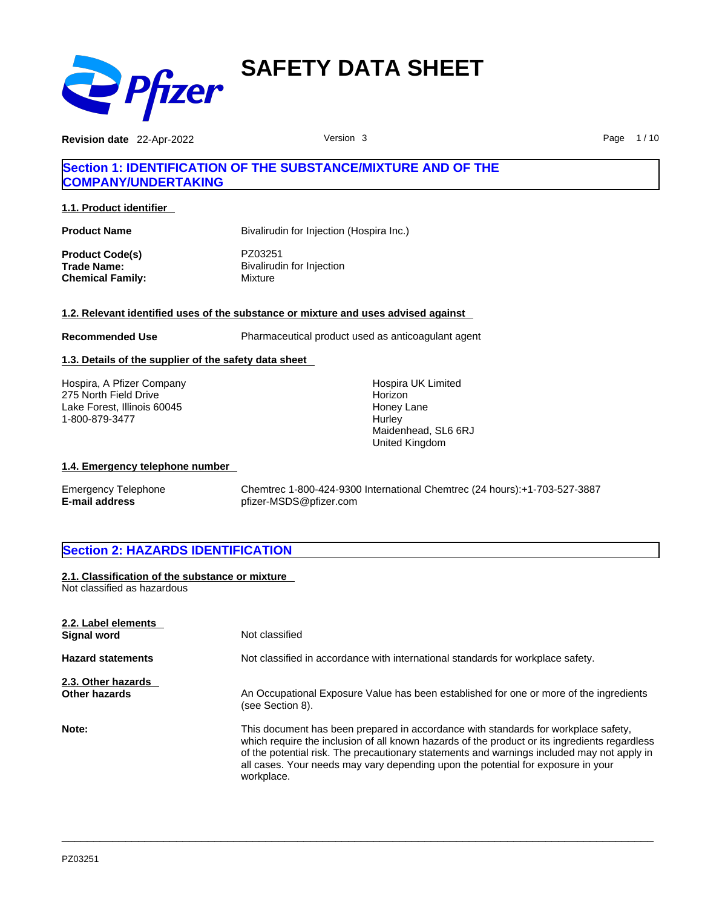

**Revision date** 22-Apr-2022 **Page 1/10** Version 3 **Page 1/10** Page 1/10

## **Section 1: IDENTIFICATION OF THE SUBSTANCE/MIXTURE AND OF THE COMPANY/UNDERTAKING**

**1.1. Product identifier** 

| Bivalirudin for Injection (Hospira Inc.)        |
|-------------------------------------------------|
| PZ03251<br>Bivalirudin for Injection<br>Mixture |
|                                                 |

### **1.2. Relevant identified uses of the substance or mixture and uses advised against**

**Recommended Use Pharmaceutical product used as anticoagulant agent** 

### **1.3. Details of the supplier of the safety data sheet**

Hospira, A Pfizer Company 275 North Field Drive Lake Forest, Illinois 60045 1-800-879-3477

Hospira UK Limited **Horizon** Honey Lane **Hurley** Maidenhead, SL6 6RJ United Kingdom

### **1.4. Emergency telephone number**

Emergency Telephone Chemtrec 1-800-424-9300 International Chemtrec (24 hours):+1-703-527-3887 **E-mail address** pfizer-MSDS@pfizer.com

### **Section 2: HAZARDS IDENTIFICATION**

**2.1. Classification of the substance or mixture** Not classified as hazardous

| 2.2. Label elements<br><b>Signal word</b> | Not classified                                                                                                                                                                                                                                                                                                                                                                      |
|-------------------------------------------|-------------------------------------------------------------------------------------------------------------------------------------------------------------------------------------------------------------------------------------------------------------------------------------------------------------------------------------------------------------------------------------|
| <b>Hazard statements</b>                  | Not classified in accordance with international standards for workplace safety.                                                                                                                                                                                                                                                                                                     |
| 2.3. Other hazards<br>Other hazards       | An Occupational Exposure Value has been established for one or more of the ingredients<br>(see Section 8).                                                                                                                                                                                                                                                                          |
| Note:                                     | This document has been prepared in accordance with standards for workplace safety,<br>which require the inclusion of all known hazards of the product or its ingredients regardless<br>of the potential risk. The precautionary statements and warnings included may not apply in<br>all cases. Your needs may vary depending upon the potential for exposure in your<br>workplace. |
|                                           |                                                                                                                                                                                                                                                                                                                                                                                     |

 $\_$  ,  $\_$  ,  $\_$  ,  $\_$  ,  $\_$  ,  $\_$  ,  $\_$  ,  $\_$  ,  $\_$  ,  $\_$  ,  $\_$  ,  $\_$  ,  $\_$  ,  $\_$  ,  $\_$  ,  $\_$  ,  $\_$  ,  $\_$  ,  $\_$  ,  $\_$  ,  $\_$  ,  $\_$  ,  $\_$  ,  $\_$  ,  $\_$  ,  $\_$  ,  $\_$  ,  $\_$  ,  $\_$  ,  $\_$  ,  $\_$  ,  $\_$  ,  $\_$  ,  $\_$  ,  $\_$  ,  $\_$  ,  $\_$  ,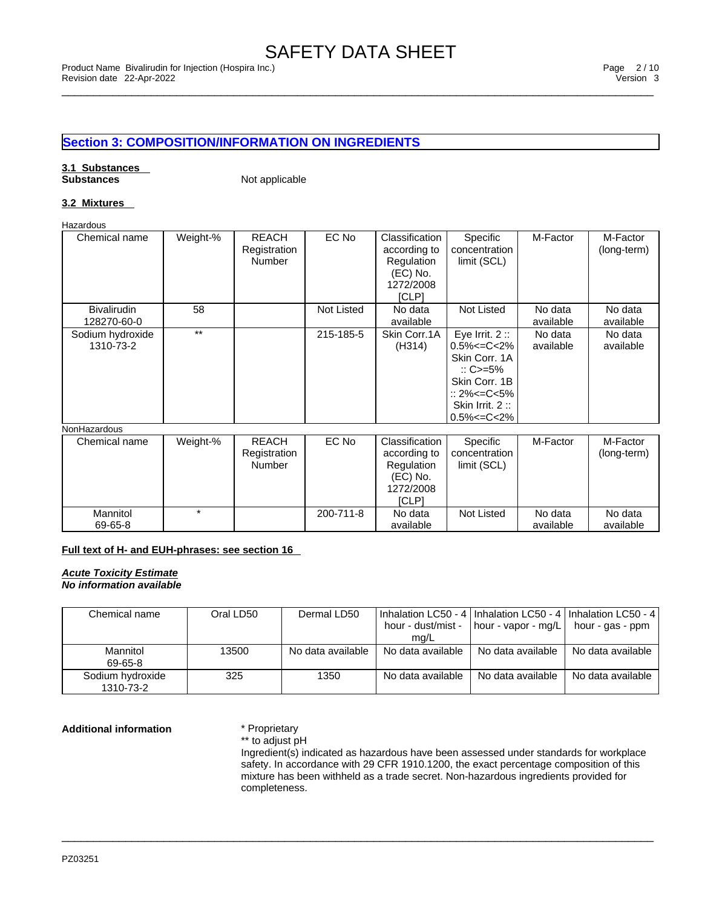# **Section 3: COMPOSITION/INFORMATION ON INGREDIENTS**

# **3.1 Substances**

**Not applicable** 

### **3.2 Mixtures**

Hazardous

| Chemical name                     | Weight-% | <b>REACH</b><br>Registration<br>Number        | EC No      | Classification<br>according to<br>Regulation<br>(EC) No.<br>1272/2008<br>[CLP] | Specific<br>concentration<br>limit (SCL)                                                                                                                | M-Factor             | M-Factor<br>(long-term) |
|-----------------------------------|----------|-----------------------------------------------|------------|--------------------------------------------------------------------------------|---------------------------------------------------------------------------------------------------------------------------------------------------------|----------------------|-------------------------|
| <b>Bivalirudin</b><br>128270-60-0 | 58       |                                               | Not Listed | No data<br>available                                                           | <b>Not Listed</b>                                                                                                                                       | No data<br>available | No data<br>available    |
| Sodium hydroxide<br>1310-73-2     | $***$    |                                               | 215-185-5  | Skin Corr.1A<br>(H314)                                                         | Eye Irrit. $2::$<br>$0.5\% < = C < 2\%$<br>Skin Corr. 1A<br>$\therefore$ C>=5%<br>Skin Corr, 1B<br>:: 2%<=C<5%<br>Skin Irrit. 2:<br>$0.5\% < = C < 2\%$ | No data<br>available | No data<br>available    |
| NonHazardous                      |          |                                               |            |                                                                                |                                                                                                                                                         |                      |                         |
| Chemical name                     | Weight-% | <b>REACH</b><br>Registration<br><b>Number</b> | EC No      | Classification<br>according to<br>Regulation<br>(EC) No.<br>1272/2008<br>[CLP] | Specific<br>concentration<br>limit (SCL)                                                                                                                | M-Factor             | M-Factor<br>(long-term) |

### **Full text of H- and EUH-phrases: see section 16**

*Acute Toxicity Estimate No information available* 

**Mannitol** 69-65-8

| Chemical name                 | Oral LD50 | Dermal LD50       | hour - dust/mist -<br>mg/L | I Inhalation LC50 - 4 I Inhalation LC50 - 4 I Inhalation LC50 - 4 I<br>  hour - vapor - mg/L | hour - gas - ppm  |
|-------------------------------|-----------|-------------------|----------------------------|----------------------------------------------------------------------------------------------|-------------------|
| Mannitol<br>69-65-8           | 13500     | No data available | No data available          | No data available                                                                            | No data available |
| Sodium hydroxide<br>1310-73-2 | 325       | 1350              | No data available          | No data available                                                                            | No data available |

 $\_$  ,  $\_$  ,  $\_$  ,  $\_$  ,  $\_$  ,  $\_$  ,  $\_$  ,  $\_$  ,  $\_$  ,  $\_$  ,  $\_$  ,  $\_$  ,  $\_$  ,  $\_$  ,  $\_$  ,  $\_$  ,  $\_$  ,  $\_$  ,  $\_$  ,  $\_$  ,  $\_$  ,  $\_$  ,  $\_$  ,  $\_$  ,  $\_$  ,  $\_$  ,  $\_$  ,  $\_$  ,  $\_$  ,  $\_$  ,  $\_$  ,  $\_$  ,  $\_$  ,  $\_$  ,  $\_$  ,  $\_$  ,  $\_$  ,

200-711-8 No data

available

Not Listed No data

available

No data available

**Additional information** \* Proprietary \*\* to adjust pH

Ingredient(s) indicated as hazardous have been assessed under standards for workplace safety. In accordance with 29 CFR 1910.1200, the exact percentage composition of this mixture has been withheld as a trade secret. Non-hazardous ingredients provided for completeness.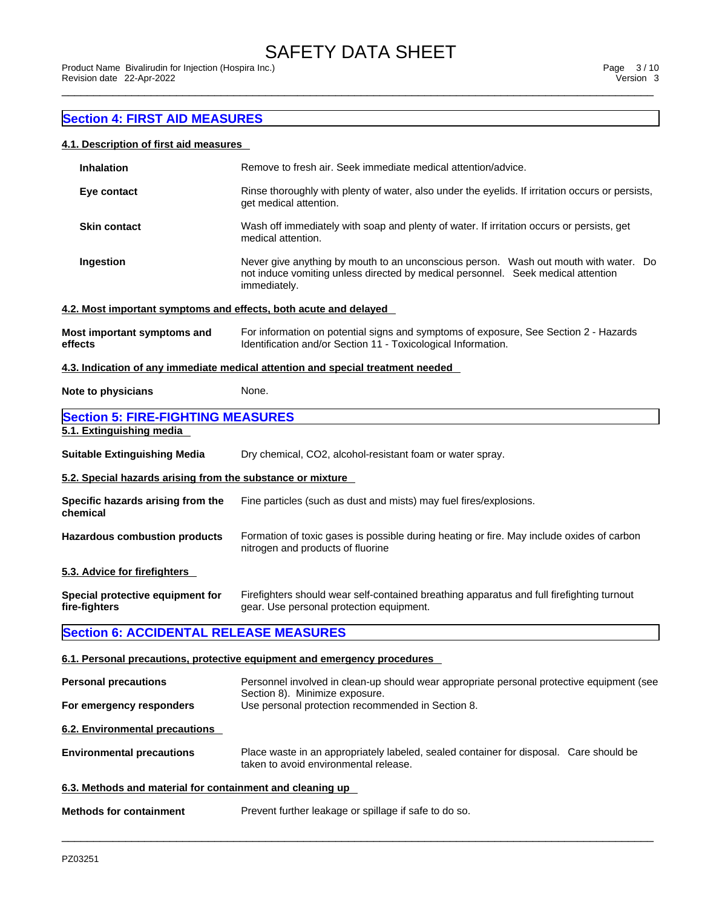### **Section 4: FIRST AID MEASURES**

### **4.1. Description of first aid measures**

| <b>Inhalation</b>                                                | Remove to fresh air. Seek immediate medical attention/advice.                                                                                                                            |  |  |  |  |  |
|------------------------------------------------------------------|------------------------------------------------------------------------------------------------------------------------------------------------------------------------------------------|--|--|--|--|--|
| Eye contact                                                      | Rinse thoroughly with plenty of water, also under the eyelids. If irritation occurs or persists,<br>get medical attention.                                                               |  |  |  |  |  |
| <b>Skin contact</b>                                              | Wash off immediately with soap and plenty of water. If irritation occurs or persists, get<br>medical attention.                                                                          |  |  |  |  |  |
| Ingestion                                                        | Never give anything by mouth to an unconscious person. Wash out mouth with water. Do<br>not induce vomiting unless directed by medical personnel. Seek medical attention<br>immediately. |  |  |  |  |  |
| 4.2. Most important symptoms and effects, both acute and delayed |                                                                                                                                                                                          |  |  |  |  |  |
| Most important symptoms and<br>effects                           | For information on potential signs and symptoms of exposure, See Section 2 - Hazards<br>Identification and/or Section 11 - Toxicological Information.                                    |  |  |  |  |  |
|                                                                  | 4.3. Indication of any immediate medical attention and special treatment needed                                                                                                          |  |  |  |  |  |
| Note to physicians                                               | None.                                                                                                                                                                                    |  |  |  |  |  |
| <b>Section 5: FIRE-FIGHTING MEASURES</b>                         |                                                                                                                                                                                          |  |  |  |  |  |
| 5.1. Extinguishing media                                         |                                                                                                                                                                                          |  |  |  |  |  |
| <b>Suitable Extinguishing Media</b>                              | Dry chemical, CO2, alcohol-resistant foam or water spray.                                                                                                                                |  |  |  |  |  |
| 5.2. Special hazards arising from the substance or mixture       |                                                                                                                                                                                          |  |  |  |  |  |
| Specific hazards arising from the<br>chemical                    | Fine particles (such as dust and mists) may fuel fires/explosions.                                                                                                                       |  |  |  |  |  |
| <b>Hazardous combustion products</b>                             | Formation of toxic gases is possible during heating or fire. May include oxides of carbon<br>nitrogen and products of fluorine                                                           |  |  |  |  |  |
| 5.3. Advice for firefighters                                     |                                                                                                                                                                                          |  |  |  |  |  |
| Special protective equipment for<br>fire-fighters                | Firefighters should wear self-contained breathing apparatus and full firefighting turnout<br>gear. Use personal protection equipment.                                                    |  |  |  |  |  |
| <b>Section 6: ACCIDENTAL RELEASE MEASURES</b>                    |                                                                                                                                                                                          |  |  |  |  |  |
|                                                                  | 6.1. Personal precautions, protective equipment and emergency procedures                                                                                                                 |  |  |  |  |  |
| <b>Personal precautions</b>                                      | Personnel involved in clean-up should wear appropriate personal protective equipment (see                                                                                                |  |  |  |  |  |
| For emergency responders                                         | Section 8). Minimize exposure.<br>Use personal protection recommended in Section 8.                                                                                                      |  |  |  |  |  |
| 6.2. Environmental precautions                                   |                                                                                                                                                                                          |  |  |  |  |  |
| <b>Environmental precautions</b>                                 | Place waste in an appropriately labeled, sealed container for disposal. Care should be<br>taken to avoid environmental release.                                                          |  |  |  |  |  |
| 6.3. Methods and material for containment and cleaning up        |                                                                                                                                                                                          |  |  |  |  |  |
| <b>Methods for containment</b>                                   | Prevent further leakage or spillage if safe to do so.                                                                                                                                    |  |  |  |  |  |
|                                                                  |                                                                                                                                                                                          |  |  |  |  |  |

 $\_$  ,  $\_$  ,  $\_$  ,  $\_$  ,  $\_$  ,  $\_$  ,  $\_$  ,  $\_$  ,  $\_$  ,  $\_$  ,  $\_$  ,  $\_$  ,  $\_$  ,  $\_$  ,  $\_$  ,  $\_$  ,  $\_$  ,  $\_$  ,  $\_$  ,  $\_$  ,  $\_$  ,  $\_$  ,  $\_$  ,  $\_$  ,  $\_$  ,  $\_$  ,  $\_$  ,  $\_$  ,  $\_$  ,  $\_$  ,  $\_$  ,  $\_$  ,  $\_$  ,  $\_$  ,  $\_$  ,  $\_$  ,  $\_$  ,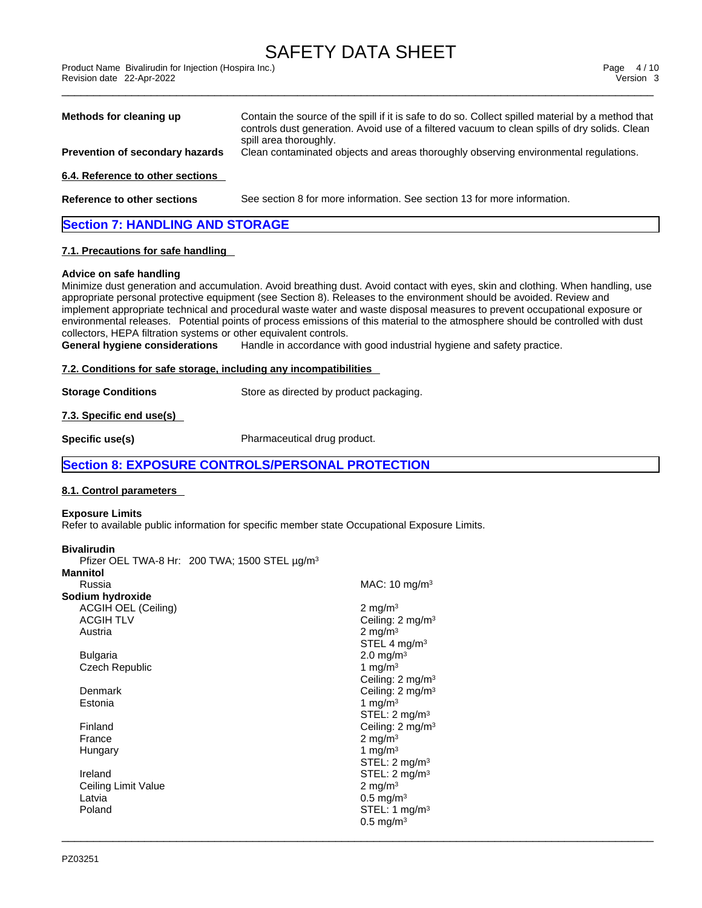\_\_\_\_\_\_\_\_\_\_\_\_\_\_\_\_\_\_\_\_\_\_\_\_\_\_\_\_\_\_\_\_\_\_\_\_\_\_\_\_\_\_\_\_\_\_\_\_\_\_\_\_\_\_\_\_\_\_\_\_\_\_\_\_\_\_\_\_\_\_\_\_\_\_\_\_\_\_\_\_\_\_\_\_\_\_\_\_\_\_\_\_\_ Product Name Bivalirudin for Injection (Hospira Inc.) Page 4 / 10 Revision date 22-Apr-2022 Version 3

| Methods for cleaning up                | Contain the source of the spill if it is safe to do so. Collect spilled material by a method that<br>controls dust generation. Avoid use of a filtered vacuum to clean spills of dry solids. Clean |  |
|----------------------------------------|----------------------------------------------------------------------------------------------------------------------------------------------------------------------------------------------------|--|
| Prevention of secondary hazards        | spill area thoroughly.<br>Clean contaminated objects and areas thoroughly observing environmental regulations.                                                                                     |  |
|                                        |                                                                                                                                                                                                    |  |
| 6.4. Reference to other sections       |                                                                                                                                                                                                    |  |
| Reference to other sections            | See section 8 for more information. See section 13 for more information.                                                                                                                           |  |
| <b>Section 7: HANDLING AND STORAGE</b> |                                                                                                                                                                                                    |  |
| 7.1. Precautions for safe handling     |                                                                                                                                                                                                    |  |

### **Advice on safe handling**

Minimize dust generation and accumulation. Avoid breathing dust. Avoid contact with eyes, skin and clothing. When handling, use appropriate personal protective equipment (see Section 8). Releases to the environment should be avoided. Review and implement appropriate technical and procedural waste water and waste disposal measures to prevent occupational exposure or environmental releases. Potential points of process emissions of this material to the atmosphere should be controlled with dust collectors, HEPA filtration systems or other equivalent controls.

 $\_$  ,  $\_$  ,  $\_$  ,  $\_$  ,  $\_$  ,  $\_$  ,  $\_$  ,  $\_$  ,  $\_$  ,  $\_$  ,  $\_$  ,  $\_$  ,  $\_$  ,  $\_$  ,  $\_$  ,  $\_$  ,  $\_$  ,  $\_$  ,  $\_$  ,  $\_$  ,  $\_$  ,  $\_$  ,  $\_$  ,  $\_$  ,  $\_$  ,  $\_$  ,  $\_$  ,  $\_$  ,  $\_$  ,  $\_$  ,  $\_$  ,  $\_$  ,  $\_$  ,  $\_$  ,  $\_$  ,  $\_$  ,  $\_$  ,

**General hygiene considerations** Handle in accordance with good industrial hygiene and safety practice.

### **7.2. Conditions for safe storage, including any incompatibilities**

**Storage Conditions** Store as directed by product packaging.

**7.3. Specific end use(s)** 

**Specific use(s)** Pharmaceutical drug product.

### **Section 8: EXPOSURE CONTROLS/PERSONAL PROTECTION**

### **8.1. Control parameters**

### **Exposure Limits**

Refer to available public information for specific member state Occupational Exposure Limits.

### **Bivalirudin**

Pfizer OEL TWA-8 Hr: 200 TWA; 1500 STEL µg/m<sup>3</sup>

| Mannitol                   |                              |
|----------------------------|------------------------------|
| Russia                     | MAC: $10 \text{ mg/m}^3$     |
| Sodium hydroxide           |                              |
| <b>ACGIH OEL (Ceiling)</b> | 2 mg/m $3$                   |
| <b>ACGIH TLV</b>           | Ceiling: $2 \text{ mg/m}^3$  |
| Austria                    | $2 \text{ mg/m}^3$           |
|                            | STEL 4 $mq/m3$               |
| Bulgaria                   | 2.0 mg/m <sup>3</sup>        |
| Czech Republic             | 1 mg/m $3$                   |
|                            | Ceiling: $2 \text{ mg/m}^3$  |
| Denmark                    | Ceiling: 2 mg/m <sup>3</sup> |
| Estonia                    | 1 mg/m $3$                   |
|                            | STEL: 2 mg/m <sup>3</sup>    |
| Finland                    | Ceiling: 2 mg/m <sup>3</sup> |
| France                     | $2 \text{ mg/m}^3$           |
| Hungary                    | 1 mg/m $3$                   |
|                            | STEL: 2 mg/m <sup>3</sup>    |
| Ireland                    | STEL: 2 mg/m <sup>3</sup>    |
| Ceiling Limit Value        | $2 \text{ mg/m}^3$           |
| Latvia                     | $0.5 \,\mathrm{mg/m^3}$      |
| Poland                     | STEL: 1 mg/m <sup>3</sup>    |
|                            | $0.5 \text{ mg/m}^3$         |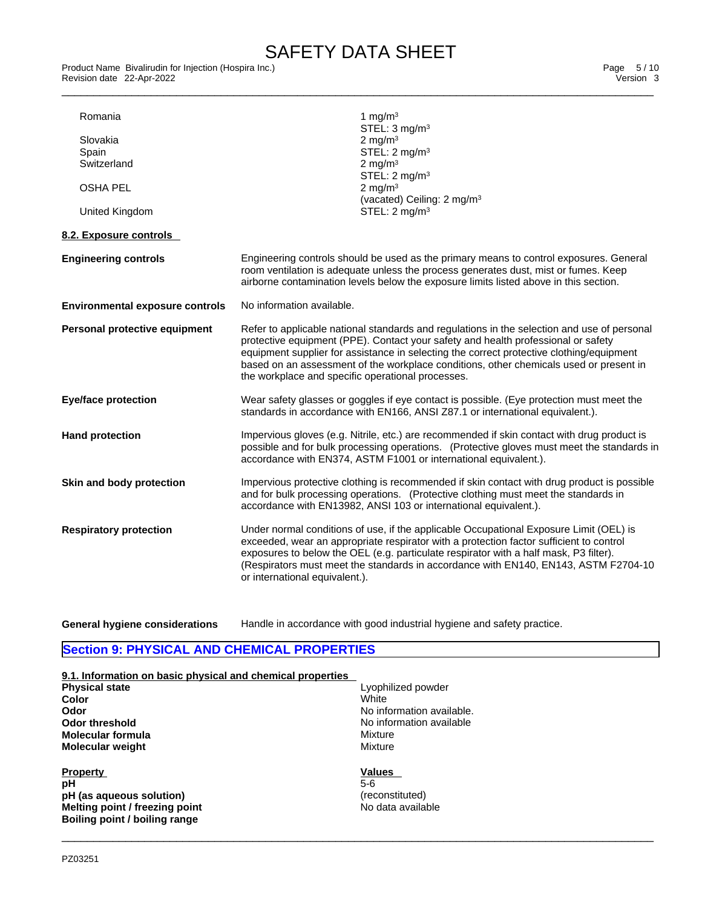\_\_\_\_\_\_\_\_\_\_\_\_\_\_\_\_\_\_\_\_\_\_\_\_\_\_\_\_\_\_\_\_\_\_\_\_\_\_\_\_\_\_\_\_\_\_\_\_\_\_\_\_\_\_\_\_\_\_\_\_\_\_\_\_\_\_\_\_\_\_\_\_\_\_\_\_\_\_\_\_\_\_\_\_\_\_\_\_\_\_\_\_\_ Product Name Bivalirudin for Injection (Hospira Inc.) Page 5 / 10 Revision date 22-Apr-2022 **Version 3** 

| Romania                                | 1 mg/m $3$<br>STEL: $3 \text{ mg/m}^3$                                                                                                                                                                                                                                                                                                                                                                                      |
|----------------------------------------|-----------------------------------------------------------------------------------------------------------------------------------------------------------------------------------------------------------------------------------------------------------------------------------------------------------------------------------------------------------------------------------------------------------------------------|
| Slovakia                               | 2 mg/m $3$                                                                                                                                                                                                                                                                                                                                                                                                                  |
| Spain                                  | STEL: 2 mg/m <sup>3</sup>                                                                                                                                                                                                                                                                                                                                                                                                   |
| Switzerland                            | 2 mg/m $3$                                                                                                                                                                                                                                                                                                                                                                                                                  |
|                                        | STEL: $2 \text{ mg/m}^3$                                                                                                                                                                                                                                                                                                                                                                                                    |
| <b>OSHA PEL</b>                        | 2 mg/m $3$                                                                                                                                                                                                                                                                                                                                                                                                                  |
|                                        | (vacated) Ceiling: 2 mg/m <sup>3</sup>                                                                                                                                                                                                                                                                                                                                                                                      |
| United Kingdom                         | STEL: 2 mg/m <sup>3</sup>                                                                                                                                                                                                                                                                                                                                                                                                   |
|                                        |                                                                                                                                                                                                                                                                                                                                                                                                                             |
| 8.2. Exposure controls                 |                                                                                                                                                                                                                                                                                                                                                                                                                             |
| <b>Engineering controls</b>            | Engineering controls should be used as the primary means to control exposures. General<br>room ventilation is adequate unless the process generates dust, mist or fumes. Keep<br>airborne contamination levels below the exposure limits listed above in this section.                                                                                                                                                      |
| <b>Environmental exposure controls</b> | No information available.                                                                                                                                                                                                                                                                                                                                                                                                   |
| Personal protective equipment          | Refer to applicable national standards and regulations in the selection and use of personal<br>protective equipment (PPE). Contact your safety and health professional or safety<br>equipment supplier for assistance in selecting the correct protective clothing/equipment<br>based on an assessment of the workplace conditions, other chemicals used or present in<br>the workplace and specific operational processes. |
| <b>Eye/face protection</b>             | Wear safety glasses or goggles if eye contact is possible. (Eye protection must meet the<br>standards in accordance with EN166, ANSI Z87.1 or international equivalent.).                                                                                                                                                                                                                                                   |
| <b>Hand protection</b>                 | Impervious gloves (e.g. Nitrile, etc.) are recommended if skin contact with drug product is<br>possible and for bulk processing operations. (Protective gloves must meet the standards in<br>accordance with EN374, ASTM F1001 or international equivalent.).                                                                                                                                                               |
| Skin and body protection               | Impervious protective clothing is recommended if skin contact with drug product is possible<br>and for bulk processing operations. (Protective clothing must meet the standards in<br>accordance with EN13982, ANSI 103 or international equivalent.).                                                                                                                                                                      |
| <b>Respiratory protection</b>          | Under normal conditions of use, if the applicable Occupational Exposure Limit (OEL) is<br>exceeded, wear an appropriate respirator with a protection factor sufficient to control<br>exposures to below the OEL (e.g. particulate respirator with a half mask, P3 filter).<br>(Respirators must meet the standards in accordance with EN140, EN143, ASTM F2704-10<br>or international equivalent.).                         |
|                                        |                                                                                                                                                                                                                                                                                                                                                                                                                             |

**General hygiene considerations** Handle in accordance with good industrial hygiene and safety practice.

 $\_$  ,  $\_$  ,  $\_$  ,  $\_$  ,  $\_$  ,  $\_$  ,  $\_$  ,  $\_$  ,  $\_$  ,  $\_$  ,  $\_$  ,  $\_$  ,  $\_$  ,  $\_$  ,  $\_$  ,  $\_$  ,  $\_$  ,  $\_$  ,  $\_$  ,  $\_$  ,  $\_$  ,  $\_$  ,  $\_$  ,  $\_$  ,  $\_$  ,  $\_$  ,  $\_$  ,  $\_$  ,  $\_$  ,  $\_$  ,  $\_$  ,  $\_$  ,  $\_$  ,  $\_$  ,  $\_$  ,  $\_$  ,  $\_$  ,

# **Section 9: PHYSICAL AND CHEMICAL PROPERTIES**

| 9.1. Information on basic physical and chemical properties |                           |
|------------------------------------------------------------|---------------------------|
| <b>Physical state</b>                                      | Lyophilized powder        |
| Color                                                      | White                     |
| Odor                                                       | No information available. |
| Odor threshold                                             | No information available  |
| <b>Molecular formula</b>                                   | Mixture                   |
| <b>Molecular weight</b>                                    | Mixture                   |
| <b>Property</b>                                            | Values                    |
| pH                                                         | $5-6$                     |
| pH (as aqueous solution)                                   | (reconstituted)           |
| Melting point / freezing point                             | No data available         |
| Boiling point / boiling range                              |                           |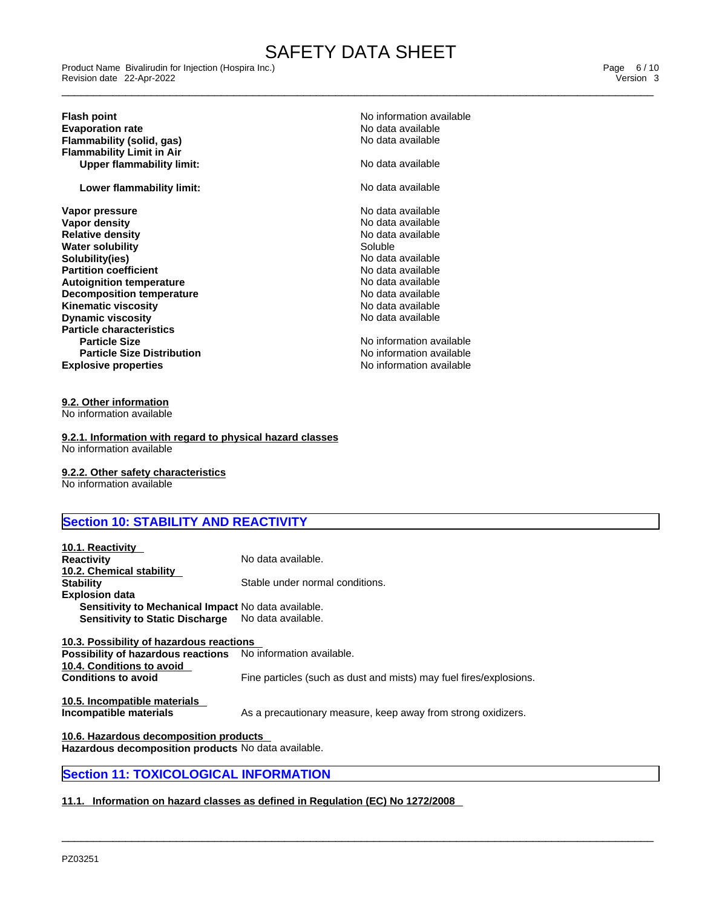\_\_\_\_\_\_\_\_\_\_\_\_\_\_\_\_\_\_\_\_\_\_\_\_\_\_\_\_\_\_\_\_\_\_\_\_\_\_\_\_\_\_\_\_\_\_\_\_\_\_\_\_\_\_\_\_\_\_\_\_\_\_\_\_\_\_\_\_\_\_\_\_\_\_\_\_\_\_\_\_\_\_\_\_\_\_\_\_\_\_\_\_\_ Product Name Bivalirudin for Injection (Hospira Inc.) Page 6 / 10 Revision date 22-Apr-2022 Version 3

### **Flash point**<br> **Evaporation rate**<br> **Evaporation rate**<br> **Evaporation rate Evaporation rate**<br> **Evaporation rate** No data available<br> **Flammability (solid. gas)**<br> **Evaporation rate** No data available **Flammability** (solid, gas) **Flammability Limit in Air Upper flammability limit:** No data available

**Lower flammability limit:** No data available

**Explosive properties Explosive properties No information available Vapor pressure**<br> **Vapor density**<br> **Vapor density**<br> **Vapor density Vapor density** No data available **Relative density Relative density No data** and **No data** and **No data** and **No data** and **No data** and **No data** and **No data** and **No** data and **No** data and **No** data and **No** data and **No** data and **No** data and **N Water solubility and the solution of the Soluble Soluble Soluble Soluble Soluble Soluble Soluble Solubility of Soluble Soluble Soluble Soluble Soluble Soluble Soluble Soluble Soluble Soluble Soluble Soluble Soluble Solubl Solubility(ies)**<br> **Solubility(ies)**<br> **Partition coefficient**<br> **Partition coefficient Partition coefficient**<br> **Autoignition temperature**<br> **Autoignition temperature**<br> **Autoignition temperature Autoignition temperature Decomposition temperature No data available Kinematic viscosity No data available No data available No data available Dynamic viscosity No data available No data available No data available Particle characteristics Particle Size** No information available **Particle Size Distribution**

No information available

# **9.2. Other information**

No information available

**9.2.1. Information with regard to physical hazard classes** No information available

**9.2.2. Other safety characteristics** No information available

## **Section 10: STABILITY AND REACTIVITY**

| 10.1. Reactivity                                                        |                                                                    |
|-------------------------------------------------------------------------|--------------------------------------------------------------------|
| <b>Reactivity</b>                                                       | No data available.                                                 |
| 10.2. Chemical stability                                                |                                                                    |
| <b>Stability</b>                                                        | Stable under normal conditions.                                    |
| <b>Explosion data</b>                                                   |                                                                    |
| Sensitivity to Mechanical Impact No data available.                     |                                                                    |
| Sensitivity to Static Discharge No data available.                      |                                                                    |
|                                                                         |                                                                    |
| 10.3. Possibility of hazardous reactions                                |                                                                    |
| Possibility of hazardous reactions No information available.            |                                                                    |
| 10.4. Conditions to avoid                                               |                                                                    |
| <b>Conditions to avoid</b>                                              | Fine particles (such as dust and mists) may fuel fires/explosions. |
|                                                                         |                                                                    |
| 10.5. Incompatible materials                                            |                                                                    |
| Incompatible materials                                                  | As a precautionary measure, keep away from strong oxidizers.       |
|                                                                         |                                                                    |
| 10.6. Hazardous decomposition products                                  |                                                                    |
| لملطم انميره لمفطولها فالمتبادعية بتحافله واستنصبت والمستحيلة المستحيلة |                                                                    |

 $\_$  ,  $\_$  ,  $\_$  ,  $\_$  ,  $\_$  ,  $\_$  ,  $\_$  ,  $\_$  ,  $\_$  ,  $\_$  ,  $\_$  ,  $\_$  ,  $\_$  ,  $\_$  ,  $\_$  ,  $\_$  ,  $\_$  ,  $\_$  ,  $\_$  ,  $\_$  ,  $\_$  ,  $\_$  ,  $\_$  ,  $\_$  ,  $\_$  ,  $\_$  ,  $\_$  ,  $\_$  ,  $\_$  ,  $\_$  ,  $\_$  ,  $\_$  ,  $\_$  ,  $\_$  ,  $\_$  ,  $\_$  ,  $\_$  ,

**Hazardous decomposition products** No data available.

### **Section 11: TOXICOLOGICAL INFORMATION**

### **11.1. Information on hazard classes as defined in Regulation (EC) No 1272/2008**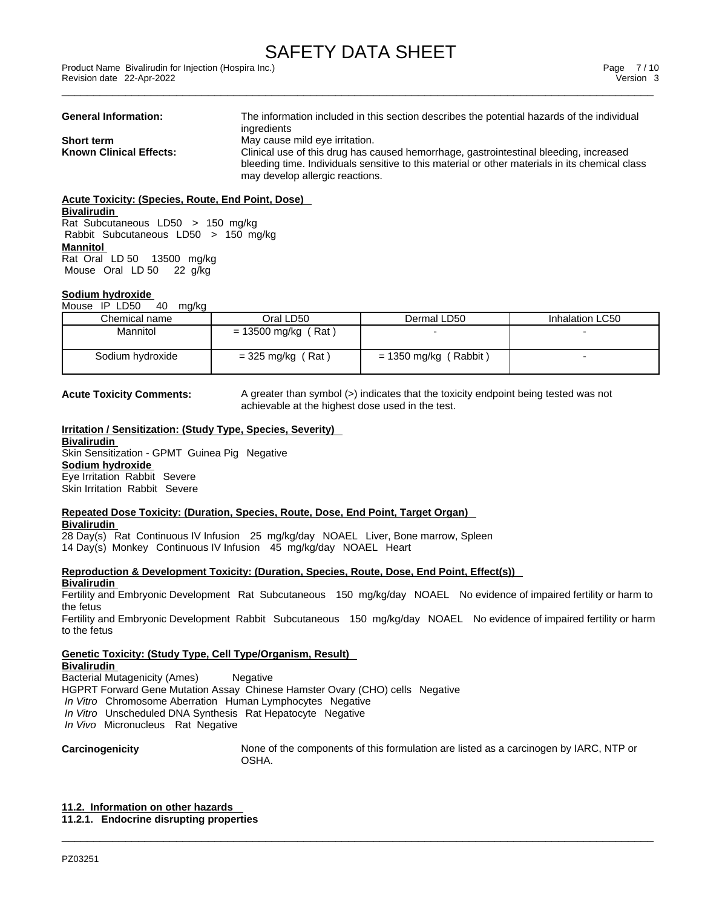| <b>General Information:</b>    | The information included in this section describes the potential hazards of the individual     |
|--------------------------------|------------------------------------------------------------------------------------------------|
|                                | ingredients                                                                                    |
| <b>Short term</b>              | May cause mild eye irritation.                                                                 |
| <b>Known Clinical Effects:</b> | Clinical use of this drug has caused hemorrhage, gastrointestinal bleeding, increased          |
|                                | bleeding time. Individuals sensitive to this material or other materials in its chemical class |
|                                | may develop allergic reactions.                                                                |

**Acute Toxicity: (Species, Route, End Point, Dose) Bivalirudin** Rat Subcutaneous LD50 > 150 mg/kg Rabbit Subcutaneous LD50 > 150 mg/kg **Mannitol** Rat Oral LD 50 13500 mg/kg Mouse Oral LD 50 22 g/kg

### **Sodium hydroxide**

Mouse IP LD50 40 mg/kg

| Chemical name    | Oral LD50             | Dermal LD50             | Inhalation LC50 |
|------------------|-----------------------|-------------------------|-----------------|
| Mannitol         | $= 13500$ mg/kg (Rat) |                         |                 |
| Sodium hydroxide | $=$ 325 mg/kg (Rat)   | $= 1350$ mg/kg (Rabbit) |                 |

**Acute Toxicity Comments:** A greater than symbol (>) indicates that the toxicity endpoint being tested was not achievable at the highest dose used in the test.

#### **Irritation / Sensitization: (Study Type, Species, Severity) Bivalirudin** Skin Sensitization - GPMT Guinea Pig Negative **Sodium hydroxide** Eye Irritation Rabbit Severe Skin Irritation Rabbit Severe

#### **Repeated Dose Toxicity: (Duration, Species, Route, Dose, End Point, Target Organ) Bivalirudin**

28 Day(s) Rat Continuous IV Infusion 25 mg/kg/day NOAEL Liver, Bone marrow, Spleen 14 Day(s) Monkey Continuous IV Infusion 45 mg/kg/day NOAEL Heart

**Reproduction & Development Toxicity: (Duration, Species, Route, Dose, End Point, Effect(s))**

**Bivalirudin**

Fertility and Embryonic Development Rat Subcutaneous 150 mg/kg/day NOAEL No evidence ofimpaired fertility or harm to the fetus

Fertility and Embryonic Development Rabbit Subcutaneous 150 mg/kg/day NOAEL No evidence of impaired fertility or harm to the fetus

 $\_$  ,  $\_$  ,  $\_$  ,  $\_$  ,  $\_$  ,  $\_$  ,  $\_$  ,  $\_$  ,  $\_$  ,  $\_$  ,  $\_$  ,  $\_$  ,  $\_$  ,  $\_$  ,  $\_$  ,  $\_$  ,  $\_$  ,  $\_$  ,  $\_$  ,  $\_$  ,  $\_$  ,  $\_$  ,  $\_$  ,  $\_$  ,  $\_$  ,  $\_$  ,  $\_$  ,  $\_$  ,  $\_$  ,  $\_$  ,  $\_$  ,  $\_$  ,  $\_$  ,  $\_$  ,  $\_$  ,  $\_$  ,  $\_$  ,

**Genetic Toxicity: (Study Type, Cell Type/Organism, Result)**

**Bivalirudin** Bacterial Mutagenicity (Ames) Negative HGPRT Forward Gene Mutation Assay Chinese Hamster Ovary (CHO) cells Negative  *In Vitro* Chromosome Aberration Human Lymphocytes Negative  *In Vitro* Unscheduled DNA Synthesis Rat Hepatocyte Negative  *In Vivo* Micronucleus Rat Negative

**Carcinogenicity** None of the components of this formulation are listed as a carcinogen by IARC, NTP or OSHA.

**11.2. Information on other hazards 11.2.1. Endocrine disrupting properties**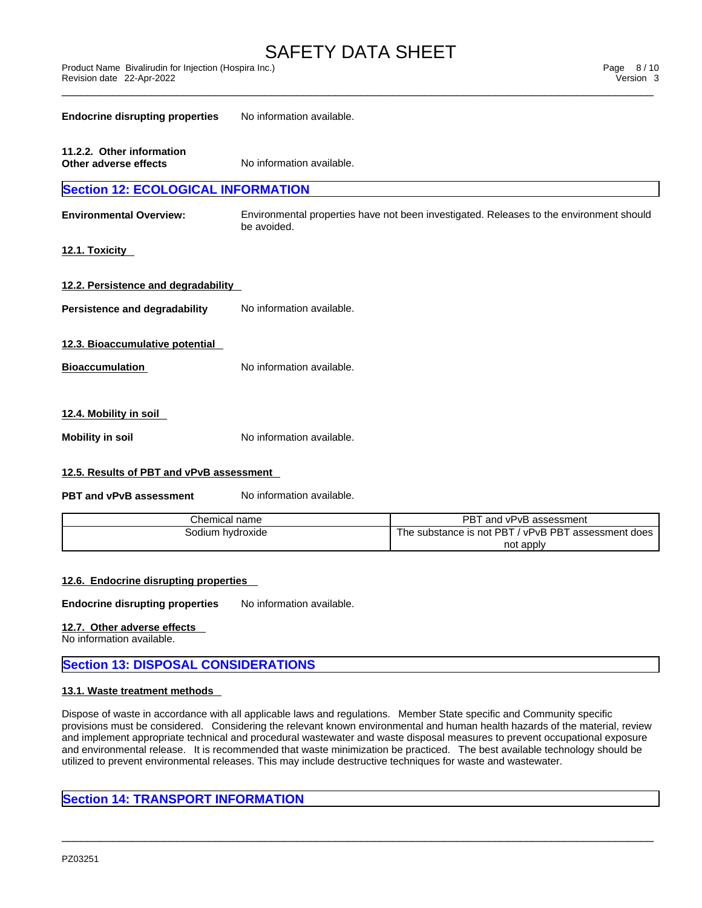| <b>Endocrine disrupting properties</b>             | No information available.                                                                              |  |  |  |
|----------------------------------------------------|--------------------------------------------------------------------------------------------------------|--|--|--|
| 11.2.2. Other information<br>Other adverse effects | No information available.                                                                              |  |  |  |
| <b>Section 12: ECOLOGICAL INFORMATION</b>          |                                                                                                        |  |  |  |
| <b>Environmental Overview:</b>                     | Environmental properties have not been investigated. Releases to the environment should<br>be avoided. |  |  |  |
| <u>12.1. Toxicity</u>                              |                                                                                                        |  |  |  |
| 12.2. Persistence and degradability                |                                                                                                        |  |  |  |
| Persistence and degradability                      | No information available.                                                                              |  |  |  |
| 12.3. Bioaccumulative potential                    |                                                                                                        |  |  |  |
| <b>Bioaccumulation</b>                             | No information available.                                                                              |  |  |  |
| 12.4. Mobility in soil                             |                                                                                                        |  |  |  |
| Mobility in soil                                   | No information available.                                                                              |  |  |  |

### **12.5. Results of PBT and vPvB assessment**

**PBT** and **vPvB** assessment No information available.

| Chemical name    | <b>PBT</b><br>, and '<br>l vPvB assessment                    |
|------------------|---------------------------------------------------------------|
| Sodium hydroxide | / vPvB PBT<br>substance is not PBT د<br>assessment does<br>he |
|                  | not apply                                                     |

### **12.6. Endocrine disrupting properties**

**Endocrine disrupting properties** No information available.

### **12.7. Other adverse effects**

No information available.

### **Section 13: DISPOSAL CONSIDERATIONS**

#### **13.1. Waste treatment methods**

Dispose of waste in accordance with all applicable laws and regulations. Member State specific and Community specific provisions must be considered. Considering the relevant known environmental and human health hazards of the material, review and implement appropriate technical and procedural wastewater and waste disposal measures to prevent occupational exposure and environmental release. It is recommended that waste minimization be practiced. The best available technology should be utilized to prevent environmental releases. This may include destructive techniques for waste and wastewater.

 $\_$  ,  $\_$  ,  $\_$  ,  $\_$  ,  $\_$  ,  $\_$  ,  $\_$  ,  $\_$  ,  $\_$  ,  $\_$  ,  $\_$  ,  $\_$  ,  $\_$  ,  $\_$  ,  $\_$  ,  $\_$  ,  $\_$  ,  $\_$  ,  $\_$  ,  $\_$  ,  $\_$  ,  $\_$  ,  $\_$  ,  $\_$  ,  $\_$  ,  $\_$  ,  $\_$  ,  $\_$  ,  $\_$  ,  $\_$  ,  $\_$  ,  $\_$  ,  $\_$  ,  $\_$  ,  $\_$  ,  $\_$  ,  $\_$  ,

### **Section 14: TRANSPORT INFORMATION**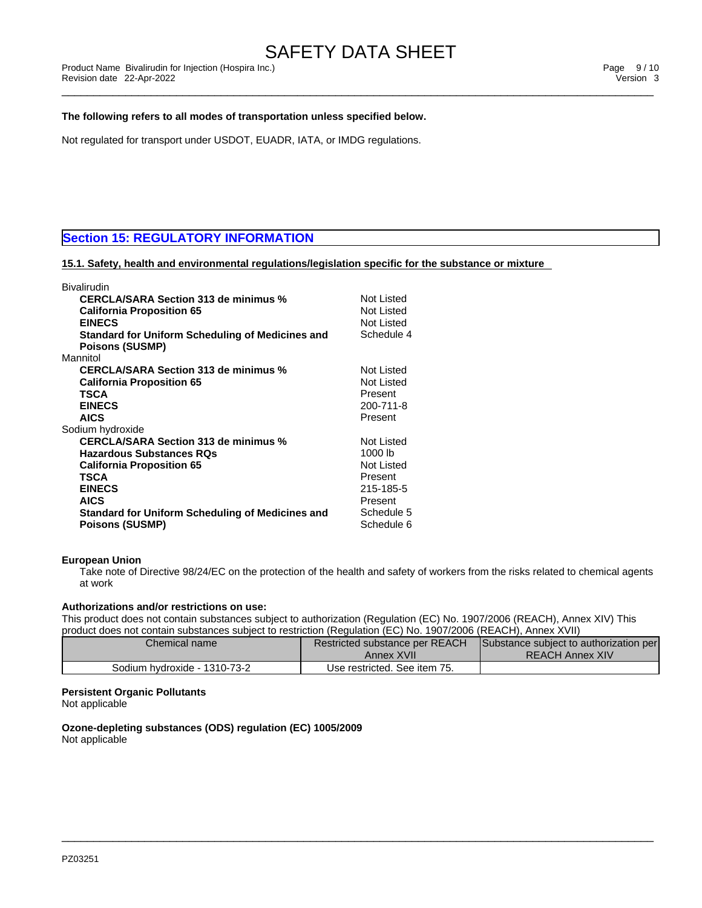### **The following refers to all modes of transportation unless specified below.**

Not regulated for transport under USDOT, EUADR, IATA, or IMDG regulations.

### **Section 15: REGULATORY INFORMATION**

### **15.1. Safety, health and environmental regulations/legislation specific for the substance or mixture**

| Bivalirudin                                             |            |
|---------------------------------------------------------|------------|
| <b>CERCLA/SARA Section 313 de minimus %</b>             | Not Listed |
| <b>California Proposition 65</b>                        | Not Listed |
| <b>EINECS</b>                                           | Not Listed |
| <b>Standard for Uniform Scheduling of Medicines and</b> | Schedule 4 |
| <b>Poisons (SUSMP)</b>                                  |            |
| Mannitol                                                |            |
| <b>CERCLA/SARA Section 313 de minimus %</b>             | Not Listed |
| <b>California Proposition 65</b>                        | Not Listed |
| TSCA                                                    | Present    |
| <b>EINECS</b>                                           | 200-711-8  |
| <b>AICS</b>                                             | Present    |
| Sodium hydroxide                                        |            |
| <b>CERCLA/SARA Section 313 de minimus %</b>             | Not Listed |
| <b>Hazardous Substances RQs</b>                         | 1000 lb    |
| <b>California Proposition 65</b>                        | Not Listed |
| TSCA                                                    | Present    |
| <b>EINECS</b>                                           | 215-185-5  |
| <b>AICS</b>                                             | Present    |
| Standard for Uniform Scheduling of Medicines and        | Schedule 5 |
| <b>Poisons (SUSMP)</b>                                  | Schedule 6 |
|                                                         |            |

### **European Union**

Take note of Directive 98/24/EC on the protection of the health and safety of workers from the risks related to chemical agents at work

#### **Authorizations and/or restrictions on use:**

This product does not contain substances subject to authorization (Regulation (EC) No. 1907/2006 (REACH), Annex XIV) This product does not contain substances subject to restriction (Regulation (EC) No. 1907/2006 (REACH), Annex XVII)

| Chemical name                | Restricted substance per REACH<br>Annex XVII | Substance subject to authorization per<br><b>REACH Annex XIV</b> |
|------------------------------|----------------------------------------------|------------------------------------------------------------------|
| Sodium hydroxide - 1310-73-2 | Use restricted. See item 75.                 |                                                                  |

 $\_$  ,  $\_$  ,  $\_$  ,  $\_$  ,  $\_$  ,  $\_$  ,  $\_$  ,  $\_$  ,  $\_$  ,  $\_$  ,  $\_$  ,  $\_$  ,  $\_$  ,  $\_$  ,  $\_$  ,  $\_$  ,  $\_$  ,  $\_$  ,  $\_$  ,  $\_$  ,  $\_$  ,  $\_$  ,  $\_$  ,  $\_$  ,  $\_$  ,  $\_$  ,  $\_$  ,  $\_$  ,  $\_$  ,  $\_$  ,  $\_$  ,  $\_$  ,  $\_$  ,  $\_$  ,  $\_$  ,  $\_$  ,  $\_$  ,

### **Persistent Organic Pollutants**

Not applicable

**Ozone-depleting substances (ODS) regulation (EC) 1005/2009** Not applicable